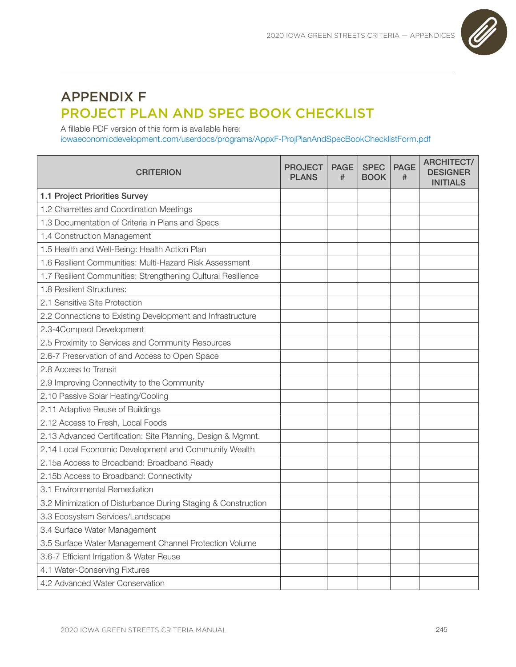

## APPENDIX F PROJECT PLAN AND SPEC BOOK CHECKLIST

A fillable PDF version of this form is available here: [iowaeconomicdevelopment.com/userdocs/programs/AppxF-ProjPlanAndSpecBookChecklistForm.pdf](https://www.iowaeconomicdevelopment.com/userdocs/programs/AppxF-ProjPlanAndSpecBookChecklistForm.pdf)

| <b>CRITERION</b>                                              | <b>PROJECT</b><br><b>PLANS</b> | <b>PAGE</b><br># | <b>SPEC</b><br><b>BOOK</b> | <b>PAGE</b><br># | <b>ARCHITECT/</b><br><b>DESIGNER</b><br><b>INITIALS</b> |
|---------------------------------------------------------------|--------------------------------|------------------|----------------------------|------------------|---------------------------------------------------------|
| 1.1 Project Priorities Survey                                 |                                |                  |                            |                  |                                                         |
| 1.2 Charrettes and Coordination Meetings                      |                                |                  |                            |                  |                                                         |
| 1.3 Documentation of Criteria in Plans and Specs              |                                |                  |                            |                  |                                                         |
| 1.4 Construction Management                                   |                                |                  |                            |                  |                                                         |
| 1.5 Health and Well-Being: Health Action Plan                 |                                |                  |                            |                  |                                                         |
| 1.6 Resilient Communities: Multi-Hazard Risk Assessment       |                                |                  |                            |                  |                                                         |
| 1.7 Resilient Communities: Strengthening Cultural Resilience  |                                |                  |                            |                  |                                                         |
| 1.8 Resilient Structures:                                     |                                |                  |                            |                  |                                                         |
| 2.1 Sensitive Site Protection                                 |                                |                  |                            |                  |                                                         |
| 2.2 Connections to Existing Development and Infrastructure    |                                |                  |                            |                  |                                                         |
| 2.3-4Compact Development                                      |                                |                  |                            |                  |                                                         |
| 2.5 Proximity to Services and Community Resources             |                                |                  |                            |                  |                                                         |
| 2.6-7 Preservation of and Access to Open Space                |                                |                  |                            |                  |                                                         |
| 2.8 Access to Transit                                         |                                |                  |                            |                  |                                                         |
| 2.9 Improving Connectivity to the Community                   |                                |                  |                            |                  |                                                         |
| 2.10 Passive Solar Heating/Cooling                            |                                |                  |                            |                  |                                                         |
| 2.11 Adaptive Reuse of Buildings                              |                                |                  |                            |                  |                                                         |
| 2.12 Access to Fresh, Local Foods                             |                                |                  |                            |                  |                                                         |
| 2.13 Advanced Certification: Site Planning, Design & Mgmnt.   |                                |                  |                            |                  |                                                         |
| 2.14 Local Economic Development and Community Wealth          |                                |                  |                            |                  |                                                         |
| 2.15a Access to Broadband: Broadband Ready                    |                                |                  |                            |                  |                                                         |
| 2.15b Access to Broadband: Connectivity                       |                                |                  |                            |                  |                                                         |
| 3.1 Environmental Remediation                                 |                                |                  |                            |                  |                                                         |
| 3.2 Minimization of Disturbance During Staging & Construction |                                |                  |                            |                  |                                                         |
| 3.3 Ecosystem Services/Landscape                              |                                |                  |                            |                  |                                                         |
| 3.4 Surface Water Management                                  |                                |                  |                            |                  |                                                         |
| 3.5 Surface Water Management Channel Protection Volume        |                                |                  |                            |                  |                                                         |
| 3.6-7 Efficient Irrigation & Water Reuse                      |                                |                  |                            |                  |                                                         |
| 4.1 Water-Conserving Fixtures                                 |                                |                  |                            |                  |                                                         |
| 4.2 Advanced Water Conservation                               |                                |                  |                            |                  |                                                         |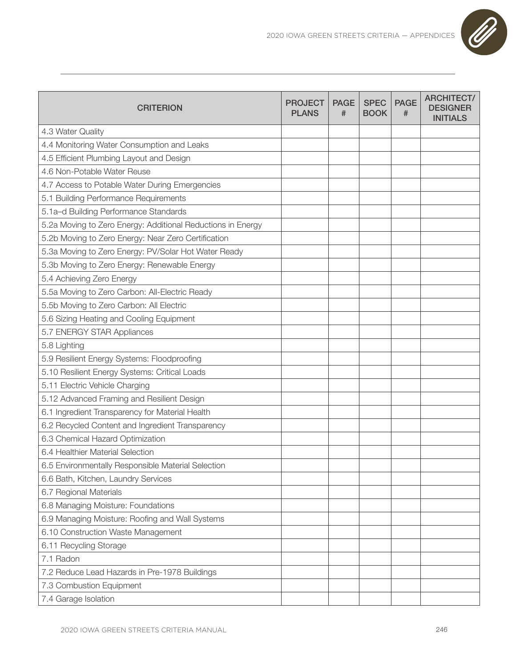

| <b>CRITERION</b>                                            | <b>PROJECT</b><br><b>PLANS</b> | <b>PAGE</b><br># | <b>SPEC</b><br><b>BOOK</b> | <b>PAGE</b><br># | <b>ARCHITECT/</b><br><b>DESIGNER</b><br><b>INITIALS</b> |
|-------------------------------------------------------------|--------------------------------|------------------|----------------------------|------------------|---------------------------------------------------------|
| 4.3 Water Quality                                           |                                |                  |                            |                  |                                                         |
| 4.4 Monitoring Water Consumption and Leaks                  |                                |                  |                            |                  |                                                         |
| 4.5 Efficient Plumbing Layout and Design                    |                                |                  |                            |                  |                                                         |
| 4.6 Non-Potable Water Reuse                                 |                                |                  |                            |                  |                                                         |
| 4.7 Access to Potable Water During Emergencies              |                                |                  |                            |                  |                                                         |
| 5.1 Building Performance Requirements                       |                                |                  |                            |                  |                                                         |
| 5.1a-d Building Performance Standards                       |                                |                  |                            |                  |                                                         |
| 5.2a Moving to Zero Energy: Additional Reductions in Energy |                                |                  |                            |                  |                                                         |
| 5.2b Moving to Zero Energy: Near Zero Certification         |                                |                  |                            |                  |                                                         |
| 5.3a Moving to Zero Energy: PV/Solar Hot Water Ready        |                                |                  |                            |                  |                                                         |
| 5.3b Moving to Zero Energy: Renewable Energy                |                                |                  |                            |                  |                                                         |
| 5.4 Achieving Zero Energy                                   |                                |                  |                            |                  |                                                         |
| 5.5a Moving to Zero Carbon: All-Electric Ready              |                                |                  |                            |                  |                                                         |
| 5.5b Moving to Zero Carbon: All Electric                    |                                |                  |                            |                  |                                                         |
| 5.6 Sizing Heating and Cooling Equipment                    |                                |                  |                            |                  |                                                         |
| 5.7 ENERGY STAR Appliances                                  |                                |                  |                            |                  |                                                         |
| 5.8 Lighting                                                |                                |                  |                            |                  |                                                         |
| 5.9 Resilient Energy Systems: Floodproofing                 |                                |                  |                            |                  |                                                         |
| 5.10 Resilient Energy Systems: Critical Loads               |                                |                  |                            |                  |                                                         |
| 5.11 Electric Vehicle Charging                              |                                |                  |                            |                  |                                                         |
| 5.12 Advanced Framing and Resilient Design                  |                                |                  |                            |                  |                                                         |
| 6.1 Ingredient Transparency for Material Health             |                                |                  |                            |                  |                                                         |
| 6.2 Recycled Content and Ingredient Transparency            |                                |                  |                            |                  |                                                         |
| 6.3 Chemical Hazard Optimization                            |                                |                  |                            |                  |                                                         |
| 6.4 Healthier Material Selection                            |                                |                  |                            |                  |                                                         |
| 6.5 Environmentally Responsible Material Selection          |                                |                  |                            |                  |                                                         |
| 6.6 Bath, Kitchen, Laundry Services                         |                                |                  |                            |                  |                                                         |
| 6.7 Regional Materials                                      |                                |                  |                            |                  |                                                         |
| 6.8 Managing Moisture: Foundations                          |                                |                  |                            |                  |                                                         |
| 6.9 Managing Moisture: Roofing and Wall Systems             |                                |                  |                            |                  |                                                         |
| 6.10 Construction Waste Management                          |                                |                  |                            |                  |                                                         |
| 6.11 Recycling Storage                                      |                                |                  |                            |                  |                                                         |
| 7.1 Radon                                                   |                                |                  |                            |                  |                                                         |
| 7.2 Reduce Lead Hazards in Pre-1978 Buildings               |                                |                  |                            |                  |                                                         |
| 7.3 Combustion Equipment                                    |                                |                  |                            |                  |                                                         |
| 7.4 Garage Isolation                                        |                                |                  |                            |                  |                                                         |